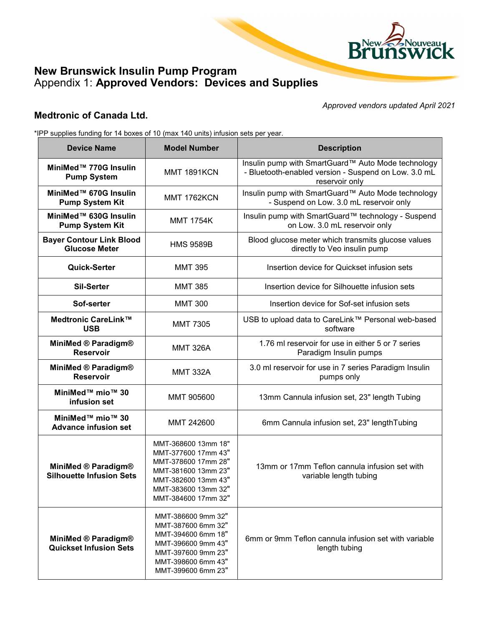

## **New Brunswick Insulin Pump Program**  Appendix 1: **Approved Vendors: Devices and Supplies**

#### *Approved vendors updated April 2021*

### **Medtronic of Canada Ltd.**

\*IPP supplies funding for 14 boxes of 10 (max 140 units) infusion sets per year.

| <b>Device Name</b>                                          | <b>Model Number</b>                                                                                                                                           | <b>Description</b>                                                                                                           |
|-------------------------------------------------------------|---------------------------------------------------------------------------------------------------------------------------------------------------------------|------------------------------------------------------------------------------------------------------------------------------|
| MiniMed™ 770G Insulin<br><b>Pump System</b>                 | <b>MMT 1891KCN</b>                                                                                                                                            | Insulin pump with SmartGuard™ Auto Mode technology<br>- Bluetooth-enabled version - Suspend on Low. 3.0 mL<br>reservoir only |
| MiniMed™ 670G Insulin<br><b>Pump System Kit</b>             | <b>MMT 1762KCN</b>                                                                                                                                            | Insulin pump with SmartGuard™ Auto Mode technology<br>- Suspend on Low. 3.0 mL reservoir only                                |
| MiniMed™ 630G Insulin<br><b>Pump System Kit</b>             | <b>MMT 1754K</b>                                                                                                                                              | Insulin pump with SmartGuard™ technology - Suspend<br>on Low. 3.0 mL reservoir only                                          |
| <b>Bayer Contour Link Blood</b><br><b>Glucose Meter</b>     | <b>HMS 9589B</b>                                                                                                                                              | Blood glucose meter which transmits glucose values<br>directly to Veo insulin pump                                           |
| Quick-Serter                                                | <b>MMT 395</b>                                                                                                                                                | Insertion device for Quickset infusion sets                                                                                  |
| <b>Sil-Serter</b>                                           | <b>MMT 385</b>                                                                                                                                                | Insertion device for Silhouette infusion sets                                                                                |
| Sof-serter                                                  | <b>MMT 300</b>                                                                                                                                                | Insertion device for Sof-set infusion sets                                                                                   |
| Medtronic CareLink™<br><b>USB</b>                           | <b>MMT 7305</b>                                                                                                                                               | USB to upload data to CareLink™ Personal web-based<br>software                                                               |
| MiniMed ® Paradigm®<br><b>Reservoir</b>                     | <b>MMT 326A</b>                                                                                                                                               | 1.76 ml reservoir for use in either 5 or 7 series<br>Paradigm Insulin pumps                                                  |
| MiniMed ® Paradigm®<br><b>Reservoir</b>                     | <b>MMT 332A</b>                                                                                                                                               | 3.0 ml reservoir for use in 7 series Paradigm Insulin<br>pumps only                                                          |
| MiniMed™ mio™ 30<br>infusion set                            | MMT 905600                                                                                                                                                    | 13mm Cannula infusion set, 23" length Tubing                                                                                 |
| MiniMed™ mio™ 30<br><b>Advance infusion set</b>             | MMT 242600                                                                                                                                                    | 6mm Cannula infusion set, 23" lengthTubing                                                                                   |
| MiniMed ® Paradigm®<br><b>Silhouette Infusion Sets</b>      | MMT-368600 13mm 18"<br>MMT-377600 17mm 43"<br>MMT-378600 17mm 28"<br>MMT-381600 13mm 23"<br>MMT-382600 13mm 43"<br>MMT-383600 13mm 32"<br>MMT-384600 17mm 32" | 13mm or 17mm Teflon cannula infusion set with<br>variable length tubing                                                      |
| <b>MiniMed ® Paradigm®</b><br><b>Quickset Infusion Sets</b> | MMT-386600 9mm 32"<br>MMT-387600 6mm 32"<br>MMT-394600 6mm 18"<br>MMT-396600 9mm 43"<br>MMT-397600 9mm 23"<br>MMT-398600 6mm 43"<br>MMT-399600 6mm 23"        | 6mm or 9mm Teflon cannula infusion set with variable<br>length tubing                                                        |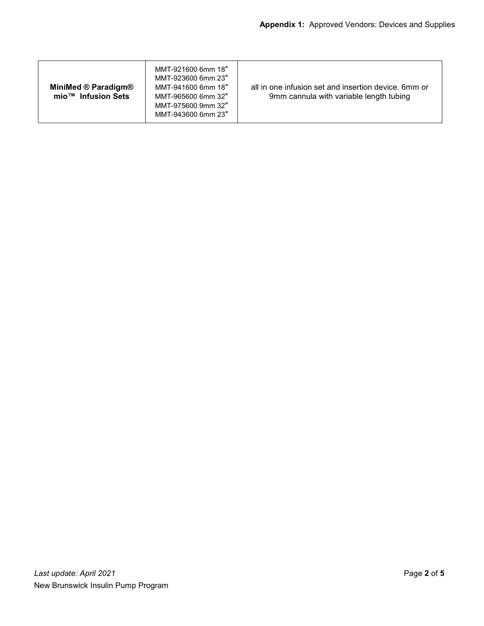| <b>MiniMed ® Paradigm®</b><br>mio <sup>™</sup> Infusion Sets | MMT-921600 6mm 18"<br>MMT-923600 6mm 23"<br>MMT-941600 6mm 18"<br>MMT-965600 6mm 32"<br>MMT-975600 9mm 32"<br>MMT-943600 6mm 23" | all in one infusion set and insertion device. 6mm or<br>9mm cannula with variable length tubing |
|--------------------------------------------------------------|----------------------------------------------------------------------------------------------------------------------------------|-------------------------------------------------------------------------------------------------|
|--------------------------------------------------------------|----------------------------------------------------------------------------------------------------------------------------------|-------------------------------------------------------------------------------------------------|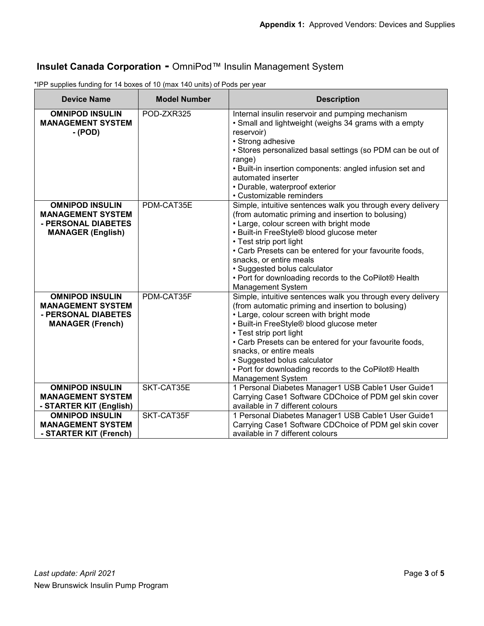# **Insulet Canada Corporation -** OmniPod™ Insulin Management System

| <b>Device Name</b>                                                                                      | <b>Model Number</b>      | <b>Description</b>                                                                                                                                                                                                                                                                                                                                                                                                                              |
|---------------------------------------------------------------------------------------------------------|--------------------------|-------------------------------------------------------------------------------------------------------------------------------------------------------------------------------------------------------------------------------------------------------------------------------------------------------------------------------------------------------------------------------------------------------------------------------------------------|
| <b>OMNIPOD INSULIN</b><br><b>MANAGEMENT SYSTEM</b><br>- (POD)                                           | POD-ZXR325               | Internal insulin reservoir and pumping mechanism<br>• Small and lightweight (weighs 34 grams with a empty<br>reservoir)<br>• Strong adhesive<br>• Stores personalized basal settings (so PDM can be out of<br>range)<br>• Built-in insertion components: angled infusion set and<br>automated inserter<br>• Durable, waterproof exterior<br>• Customizable reminders                                                                            |
| <b>OMNIPOD INSULIN</b><br><b>MANAGEMENT SYSTEM</b><br>- PERSONAL DIABETES<br><b>MANAGER (English)</b>   | PDM-CAT35E               | Simple, intuitive sentences walk you through every delivery<br>(from automatic priming and insertion to bolusing)<br>• Large, colour screen with bright mode<br>• Built-in FreeStyle® blood glucose meter<br>• Test strip port light<br>• Carb Presets can be entered for your favourite foods,<br>snacks, or entire meals<br>• Suggested bolus calculator<br>• Port for downloading records to the CoPilot® Health<br><b>Management System</b> |
| <b>OMNIPOD INSULIN</b><br><b>MANAGEMENT SYSTEM</b><br>- PERSONAL DIABETES<br><b>MANAGER (French)</b>    | PDM-CAT35F               | Simple, intuitive sentences walk you through every delivery<br>(from automatic priming and insertion to bolusing)<br>• Large, colour screen with bright mode<br>• Built-in FreeStyle® blood glucose meter<br>• Test strip port light<br>• Carb Presets can be entered for your favourite foods,<br>snacks, or entire meals<br>• Suggested bolus calculator<br>• Port for downloading records to the CoPilot® Health<br><b>Management System</b> |
| <b>OMNIPOD INSULIN</b><br><b>MANAGEMENT SYSTEM</b><br>- STARTER KIT (English)<br><b>OMNIPOD INSULIN</b> | SKT-CAT35E<br>SKT-CAT35F | 1 Personal Diabetes Manager1 USB Cable1 User Guide1<br>Carrying Case1 Software CDChoice of PDM gel skin cover<br>available in 7 different colours<br>1 Personal Diabetes Manager1 USB Cable1 User Guide1                                                                                                                                                                                                                                        |
| <b>MANAGEMENT SYSTEM</b><br>- STARTER KIT (French)                                                      |                          | Carrying Case1 Software CDChoice of PDM gel skin cover<br>available in 7 different colours                                                                                                                                                                                                                                                                                                                                                      |

\*IPP supplies funding for 14 boxes of 10 (max 140 units) of Pods per year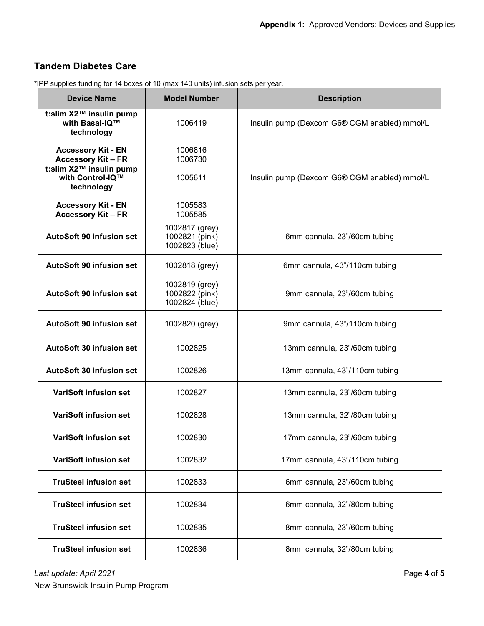### **Tandem Diabetes Care**

| <b>Device Name</b>                                        | <b>Model Number</b>                                | <b>Description</b>                           |
|-----------------------------------------------------------|----------------------------------------------------|----------------------------------------------|
| t:slim X2™ insulin pump<br>with Basal-IQ™<br>technology   | 1006419                                            | Insulin pump (Dexcom G6® CGM enabled) mmol/L |
| <b>Accessory Kit - EN</b><br><b>Accessory Kit-FR</b>      | 1006816<br>1006730                                 |                                              |
| t:slim X2™ insulin pump<br>with Control-IQ™<br>technology | 1005611                                            | Insulin pump (Dexcom G6® CGM enabled) mmol/L |
| <b>Accessory Kit - EN</b><br><b>Accessory Kit-FR</b>      | 1005583<br>1005585                                 |                                              |
| <b>AutoSoft 90 infusion set</b>                           | 1002817 (grey)<br>1002821 (pink)<br>1002823 (blue) | 6mm cannula, 23"/60cm tubing                 |
| <b>AutoSoft 90 infusion set</b>                           | 1002818 (grey)                                     | 6mm cannula, 43"/110cm tubing                |
| <b>AutoSoft 90 infusion set</b>                           | 1002819 (grey)<br>1002822 (pink)<br>1002824 (blue) | 9mm cannula, 23"/60cm tubing                 |
| <b>AutoSoft 90 infusion set</b>                           | 1002820 (grey)                                     | 9mm cannula, 43"/110cm tubing                |
| <b>AutoSoft 30 infusion set</b>                           | 1002825                                            | 13mm cannula, 23"/60cm tubing                |
| <b>AutoSoft 30 infusion set</b>                           | 1002826                                            | 13mm cannula, 43"/110cm tubing               |
| <b>VariSoft infusion set</b>                              | 1002827                                            | 13mm cannula, 23"/60cm tubing                |
| <b>VariSoft infusion set</b>                              | 1002828                                            | 13mm cannula, 32"/80cm tubing                |
| <b>VariSoft infusion set</b>                              | 1002830                                            | 17mm cannula, 23"/60cm tubing                |
| <b>VariSoft infusion set</b>                              | 1002832                                            | 17mm cannula, 43"/110cm tubing               |
| <b>TruSteel infusion set</b>                              | 1002833                                            | 6mm cannula, 23"/60cm tubing                 |
| <b>TruSteel infusion set</b>                              | 1002834                                            | 6mm cannula, 32"/80cm tubing                 |
| <b>TruSteel infusion set</b>                              | 1002835                                            | 8mm cannula, 23"/60cm tubing                 |
| <b>TruSteel infusion set</b>                              | 1002836                                            | 8mm cannula, 32"/80cm tubing                 |

\*IPP supplies funding for 14 boxes of 10 (max 140 units) infusion sets per year.